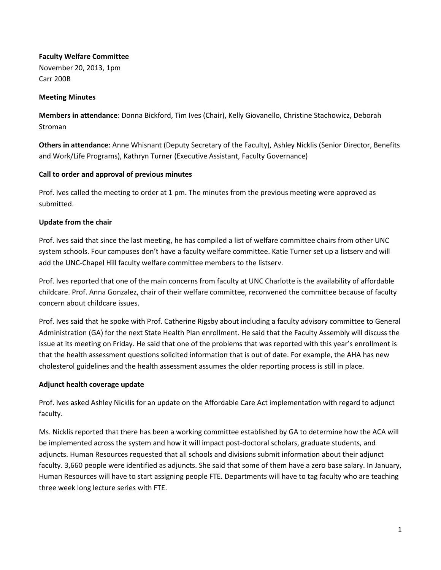# **Faculty Welfare Committee**

November 20, 2013, 1pm Carr 200B

## **Meeting Minutes**

**Members in attendance**: Donna Bickford, Tim Ives (Chair), Kelly Giovanello, Christine Stachowicz, Deborah Stroman

**Others in attendance**: Anne Whisnant (Deputy Secretary of the Faculty), Ashley Nicklis (Senior Director, Benefits and Work/Life Programs), Kathryn Turner (Executive Assistant, Faculty Governance)

### **Call to order and approval of previous minutes**

Prof. Ives called the meeting to order at 1 pm. The minutes from the previous meeting were approved as submitted.

### **Update from the chair**

Prof. Ives said that since the last meeting, he has compiled a list of welfare committee chairs from other UNC system schools. Four campuses don't have a faculty welfare committee. Katie Turner set up a listserv and will add the UNC-Chapel Hill faculty welfare committee members to the listserv.

Prof. Ives reported that one of the main concerns from faculty at UNC Charlotte is the availability of affordable childcare. Prof. Anna Gonzalez, chair of their welfare committee, reconvened the committee because of faculty concern about childcare issues.

Prof. Ives said that he spoke with Prof. Catherine Rigsby about including a faculty advisory committee to General Administration (GA) for the next State Health Plan enrollment. He said that the Faculty Assembly will discuss the issue at its meeting on Friday. He said that one of the problems that was reported with this year's enrollment is that the health assessment questions solicited information that is out of date. For example, the AHA has new cholesterol guidelines and the health assessment assumes the older reporting process is still in place.

# **Adjunct health coverage update**

Prof. Ives asked Ashley Nicklis for an update on the Affordable Care Act implementation with regard to adjunct faculty.

Ms. Nicklis reported that there has been a working committee established by GA to determine how the ACA will be implemented across the system and how it will impact post-doctoral scholars, graduate students, and adjuncts. Human Resources requested that all schools and divisions submit information about their adjunct faculty. 3,660 people were identified as adjuncts. She said that some of them have a zero base salary. In January, Human Resources will have to start assigning people FTE. Departments will have to tag faculty who are teaching three week long lecture series with FTE.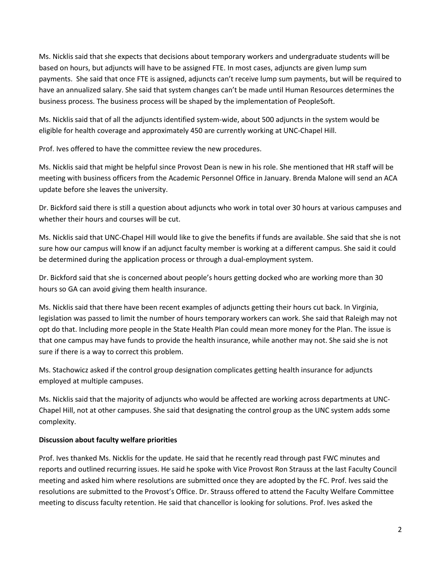Ms. Nicklis said that she expects that decisions about temporary workers and undergraduate students will be based on hours, but adjuncts will have to be assigned FTE. In most cases, adjuncts are given lump sum payments. She said that once FTE is assigned, adjuncts can't receive lump sum payments, but will be required to have an annualized salary. She said that system changes can't be made until Human Resources determines the business process. The business process will be shaped by the implementation of PeopleSoft.

Ms. Nicklis said that of all the adjuncts identified system-wide, about 500 adjuncts in the system would be eligible for health coverage and approximately 450 are currently working at UNC-Chapel Hill.

Prof. Ives offered to have the committee review the new procedures.

Ms. Nicklis said that might be helpful since Provost Dean is new in his role. She mentioned that HR staff will be meeting with business officers from the Academic Personnel Office in January. Brenda Malone will send an ACA update before she leaves the university.

Dr. Bickford said there is still a question about adjuncts who work in total over 30 hours at various campuses and whether their hours and courses will be cut.

Ms. Nicklis said that UNC-Chapel Hill would like to give the benefits if funds are available. She said that she is not sure how our campus will know if an adjunct faculty member is working at a different campus. She said it could be determined during the application process or through a dual-employment system.

Dr. Bickford said that she is concerned about people's hours getting docked who are working more than 30 hours so GA can avoid giving them health insurance.

Ms. Nicklis said that there have been recent examples of adjuncts getting their hours cut back. In Virginia, legislation was passed to limit the number of hours temporary workers can work. She said that Raleigh may not opt do that. Including more people in the State Health Plan could mean more money for the Plan. The issue is that one campus may have funds to provide the health insurance, while another may not. She said she is not sure if there is a way to correct this problem.

Ms. Stachowicz asked if the control group designation complicates getting health insurance for adjuncts employed at multiple campuses.

Ms. Nicklis said that the majority of adjuncts who would be affected are working across departments at UNC-Chapel Hill, not at other campuses. She said that designating the control group as the UNC system adds some complexity.

# **Discussion about faculty welfare priorities**

Prof. Ives thanked Ms. Nicklis for the update. He said that he recently read through past FWC minutes and reports and outlined recurring issues. He said he spoke with Vice Provost Ron Strauss at the last Faculty Council meeting and asked him where resolutions are submitted once they are adopted by the FC. Prof. Ives said the resolutions are submitted to the Provost's Office. Dr. Strauss offered to attend the Faculty Welfare Committee meeting to discuss faculty retention. He said that chancellor is looking for solutions. Prof. Ives asked the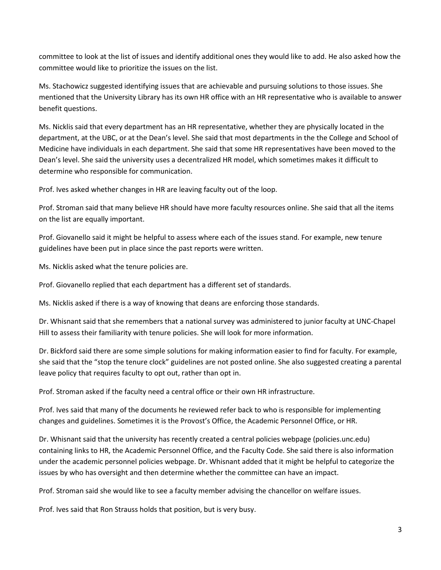committee to look at the list of issues and identify additional ones they would like to add. He also asked how the committee would like to prioritize the issues on the list.

Ms. Stachowicz suggested identifying issues that are achievable and pursuing solutions to those issues. She mentioned that the University Library has its own HR office with an HR representative who is available to answer benefit questions.

Ms. Nicklis said that every department has an HR representative, whether they are physically located in the department, at the UBC, or at the Dean's level. She said that most departments in the the College and School of Medicine have individuals in each department. She said that some HR representatives have been moved to the Dean's level. She said the university uses a decentralized HR model, which sometimes makes it difficult to determine who responsible for communication.

Prof. Ives asked whether changes in HR are leaving faculty out of the loop.

Prof. Stroman said that many believe HR should have more faculty resources online. She said that all the items on the list are equally important.

Prof. Giovanello said it might be helpful to assess where each of the issues stand. For example, new tenure guidelines have been put in place since the past reports were written.

Ms. Nicklis asked what the tenure policies are.

Prof. Giovanello replied that each department has a different set of standards.

Ms. Nicklis asked if there is a way of knowing that deans are enforcing those standards.

Dr. Whisnant said that she remembers that a national survey was administered to junior faculty at UNC-Chapel Hill to assess their familiarity with tenure policies. She will look for more information.

Dr. Bickford said there are some simple solutions for making information easier to find for faculty. For example, she said that the "stop the tenure clock" guidelines are not posted online. She also suggested creating a parental leave policy that requires faculty to opt out, rather than opt in.

Prof. Stroman asked if the faculty need a central office or their own HR infrastructure.

Prof. Ives said that many of the documents he reviewed refer back to who is responsible for implementing changes and guidelines. Sometimes it is the Provost's Office, the Academic Personnel Office, or HR.

Dr. Whisnant said that the university has recently created a central policies webpage (policies.unc.edu) containing links to HR, the Academic Personnel Office, and the Faculty Code. She said there is also information under the academic personnel policies webpage. Dr. Whisnant added that it might be helpful to categorize the issues by who has oversight and then determine whether the committee can have an impact.

Prof. Stroman said she would like to see a faculty member advising the chancellor on welfare issues.

Prof. Ives said that Ron Strauss holds that position, but is very busy.